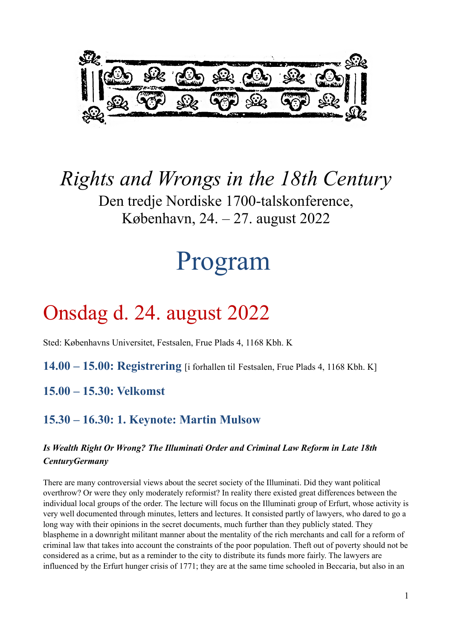

*Rights and Wrongs in the 18th Century* Den tredje Nordiske 1700-talskonference, København, 24. – 27. august 2022

# Program

# Onsdag d. 24. august 2022

Sted: Københavns Universitet, Festsalen, Frue Plads 4, 1168 Kbh. K

**14.00 – 15.00: Registrering** [i forhallen til Festsalen, Frue Plads 4, 1168 Kbh. K]

**15.00 – 15.30: Velkomst**

# **15.30 – 16.30: 1. Keynote: Martin Mulsow**

#### *Is Wealth Right Or Wrong? The Illuminati Order and Criminal Law Reform in Late 18th CenturyGermany*

There are many controversial views about the secret society of the Illuminati. Did they want political overthrow? Or were they only moderately reformist? In reality there existed great differences between the individual local groups of the order. The lecture will focus on the Illuminati group of Erfurt, whose activity is very well documented through minutes, letters and lectures. It consisted partly of lawyers, who dared to go a long way with their opinions in the secret documents, much further than they publicly stated. They blaspheme in a downright militant manner about the mentality of the rich merchants and call for a reform of criminal law that takes into account the constraints of the poor population. Theft out of poverty should not be considered as a crime, but as a reminder to the city to distribute its funds more fairly. The lawyers are influenced by the Erfurt hunger crisis of 1771; they are at the same time schooled in Beccaria, but also in an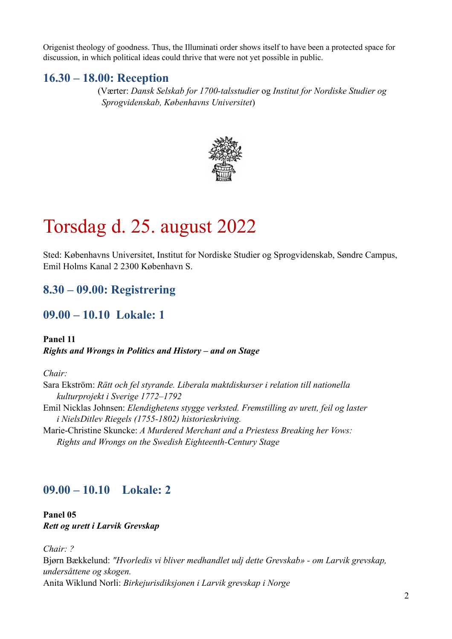Origenist theology of goodness. Thus, the Illuminati order shows itself to have been a protected space for discussion, in which political ideas could thrive that were not yet possible in public.

#### **16.30 – 18.00: Reception**

 (Værter: *Dansk Selskab for 1700-talsstudier* og *Institut for Nordiske Studier og Sprogvidenskab, Københavns Universitet*)



# Torsdag d. 25. august 2022

Sted: Københavns Universitet, Institut for Nordiske Studier og Sprogvidenskab, Søndre Campus, Emil Holms Kanal 2 2300 København S.

# **8.30 – 09.00: Registrering**

#### **09.00 – 10.10 Lokale: 1**

**Panel 11** *Rights and Wrongs in Politics and History – and on Stage*

*Chair:* 

Sara Ekström: *Rätt och fel styrande. Liberala maktdiskurser i relation till nationella kulturprojekt i Sverige 1772–1792*  Emil Nicklas Johnsen: *Elendighetens stygge verksted. Fremstilling av urett, feil og laster i NielsDitlev Riegels (1755-1802) historieskriving.* Marie-Christine Skuncke: *A Murdered Merchant and a Priestess Breaking her Vows:* 

 *Rights and Wrongs on the Swedish Eighteenth-Century Stage*

# **09.00 – 10.10 Lokale: 2**

**Panel 05** *Rett og urett i Larvik Grevskap*

*Chair: ?* Bjørn Bækkelund: *"Hvorledis vi bliver medhandlet udj dette Grevskab» - om Larvik grevskap, undersåttene og skogen.* Anita Wiklund Norli: *Birkejurisdiksjonen i Larvik grevskap i Norge*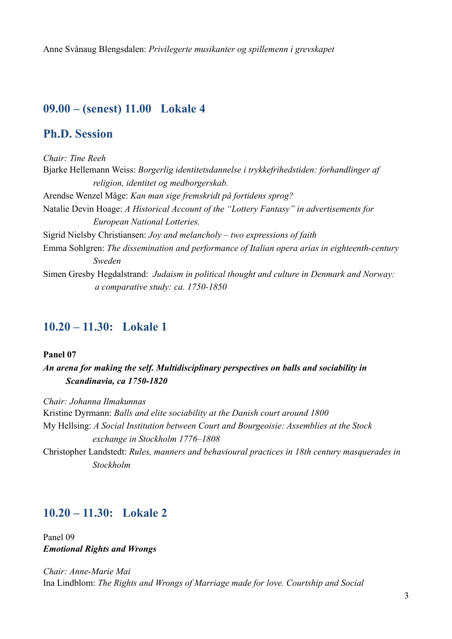Anne Svånaug Blengsdalen: *Privilegerte musikanter og spillemenn i grevskapet*

# **09.00 – (senest) 11.00 Lokale 4**

#### **Ph.D. Session**

*Chair: Tine Reeh* Bjarke Hellemann Weiss: *Borgerlig identitetsdannelse i trykkefrihedstiden: forhandlinger af religion, identitet og medborgerskab.* Arendse Wenzel Måge: *Kan man sige fremskridt på fortidens sprog?* Natalie Devin Hoage: *A Historical Account of the "Lottery Fantasy" in advertisements for European National Lotteries.*  Sigrid Nielsby Christiansen: *Joy and melancholy – two expressions of faith* Emma Sohlgren: *The dissemination and performance of Italian opera arias in eighteenth-century Sweden* Simen Gresby Hegdalstrand: *Judaism in political thought and culture in Denmark and Norway: a comparative study: ca. 1750-1850*

## **10.20 – 11.30: Lokale 1**

#### **Panel 07**

*An arena for making the self. Multidisciplinary perspectives on balls and sociability in Scandinavia, ca 1750-1820*

*Chair: Johanna Ilmakunnas* Kristine Dyrmann: *Balls and elite sociability at the Danish court around 1800* My Hellsing: *A Social Institution between Court and Bourgeoisie: Assemblies at the Stock exchange in Stockholm 1776–1808* Christopher Landstedt: *Rules, manners and behavioural practices in 18th century masquerades in* 

*Stockholm*

#### **10.20 – 11.30: Lokale 2**

Panel 09 *Emotional Rights and Wrongs*

*Chair: Anne-Marie Mai* Ina Lindblom: *The Rights and Wrongs of Marriage made for love. Courtship and Social*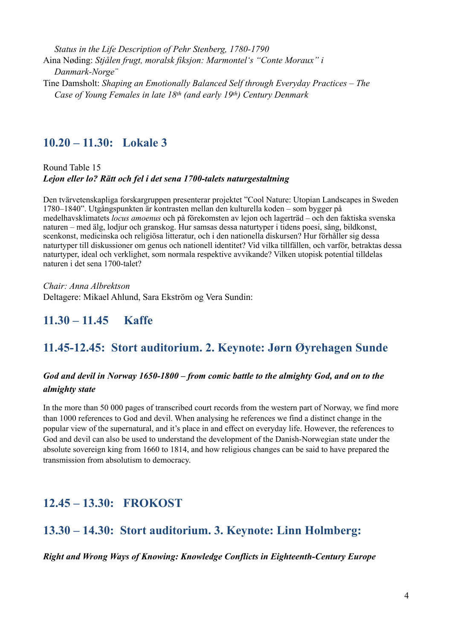*Status in the Life Description of Pehr Stenberg, 1780-1790* Aina Nøding: *Stjålen frugt, moralsk fiksjon: Marmontel's "Conte Moraux" i Danmark-Norge¨*  Tine Damsholt: *Shaping an Emotionally Balanced Self through Everyday Practices – The Case of Young Females in late 18th (and early 19th) Century Denmark* 

#### **10.20 – 11.30: Lokale 3**

Round Table 15 *Lejon eller lo? Rätt och fel i det sena 1700-talets naturgestaltning*

Den tvärvetenskapliga forskargruppen presenterar projektet "Cool Nature: Utopian Landscapes in Sweden 1780‒1840". Utgångspunkten är kontrasten mellan den kulturella koden – som bygger på medelhavsklimatets *locus amoenus* och på förekomsten av lejon och lagerträd – och den faktiska svenska naturen – med älg, lodjur och granskog. Hur samsas dessa naturtyper i tidens poesi, sång, bildkonst, scenkonst, medicinska och religiösa litteratur, och i den nationella diskursen? Hur förhåller sig dessa naturtyper till diskussioner om genus och nationell identitet? Vid vilka tillfällen, och varför, betraktas dessa naturtyper, ideal och verklighet, som normala respektive avvikande? Vilken utopisk potential tilldelas naturen i det sena 1700-talet?

*Chair: Anna Albrektson* Deltagere: Mikael Ahlund, Sara Ekström og Vera Sundin:

# **11.30 – 11.45 Kaffe**

## **11.45-12.45: Stort auditorium. 2. Keynote: Jørn Øyrehagen Sunde**

#### *God and devil in Norway 1650-1800 – from comic battle to the almighty God, and on to the almighty state*

In the more than 50 000 pages of transcribed court records from the western part of Norway, we find more than 1000 references to God and devil. When analysing he references we find a distinct change in the popular view of the supernatural, and it's place in and effect on everyday life. However, the references to God and devil can also be used to understand the development of the Danish-Norwegian state under the absolute sovereign king from 1660 to 1814, and how religious changes can be said to have prepared the transmission from absolutism to democracy.

# **12.45 – 13.30: FROKOST**

## **13.30 – 14.30: Stort auditorium. 3. Keynote: Linn Holmberg:**

#### *Right and Wrong Ways of Knowing: Knowledge Conflicts in Eighteenth-Century Europe*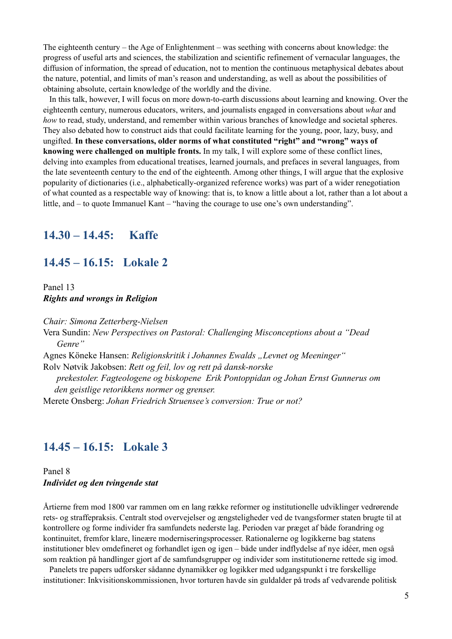The eighteenth century – the Age of Enlightenment – was seething with concerns about knowledge: the progress of useful arts and sciences, the stabilization and scientific refinement of vernacular languages, the diffusion of information, the spread of education, not to mention the continuous metaphysical debates about the nature, potential, and limits of man's reason and understanding, as well as about the possibilities of obtaining absolute, certain knowledge of the worldly and the divine.

 In this talk, however, I will focus on more down-to-earth discussions about learning and knowing. Over the eighteenth century, numerous educators, writers, and journalists engaged in conversations about *what* and *how* to read, study, understand, and remember within various branches of knowledge and societal spheres. They also debated how to construct aids that could facilitate learning for the young, poor, lazy, busy, and ungifted. **In these conversations, older norms of what constituted "right" and "wrong" ways of knowing were challenged on multiple fronts.** In my talk, I will explore some of these conflict lines, delving into examples from educational treatises, learned journals, and prefaces in several languages, from the late seventeenth century to the end of the eighteenth. Among other things, I will argue that the explosive popularity of dictionaries (i.e., alphabetically-organized reference works) was part of a wider renegotiation of what counted as a respectable way of knowing: that is, to know a little about a lot, rather than a lot about a little, and – to quote Immanuel Kant – "having the courage to use one's own understanding".

#### **14.30 – 14.45: Kaffe**

#### **14.45 – 16.15: Lokale 2**

Panel 13 *Rights and wrongs in Religion*

*Chair: Simona Zetterberg-Nielsen* Vera Sundin: *New Perspectives on Pastoral: Challenging Misconceptions about a "Dead Genre"*  Agnes Köneke Hansen: *Religionskritik i Johannes Ewalds "Levnet og Meeninger"* Rolv Nøtvik Jakobsen: *Rett og feil, lov og rett på dansk-norske prekestoler. Fagteologene og biskopene Erik Pontoppidan og Johan Ernst Gunnerus om den geistlige retorikkens normer og grenser.* Merete Onsberg: *Johan Friedrich Struensee's conversion: True or not?*

## **14.45 – 16.15: Lokale 3**

Panel 8 *Individet og den tvingende stat*

Årtierne frem mod 1800 var rammen om en lang række reformer og institutionelle udviklinger vedrørende rets- og straffepraksis. Centralt stod overvejelser og ængsteligheder ved de tvangsformer staten brugte til at kontrollere og forme individer fra samfundets nederste lag. Perioden var præget af både forandring og kontinuitet, fremfor klare, lineære moderniseringsprocesser. Rationalerne og logikkerne bag statens institutioner blev omdefineret og forhandlet igen og igen – både under indflydelse af nye idéer, men også som reaktion på handlinger gjort af de samfundsgrupper og individer som institutionerne rettede sig imod.

 Panelets tre papers udforsker sådanne dynamikker og logikker med udgangspunkt i tre forskellige institutioner: Inkvisitionskommissionen, hvor torturen havde sin guldalder på trods af vedvarende politisk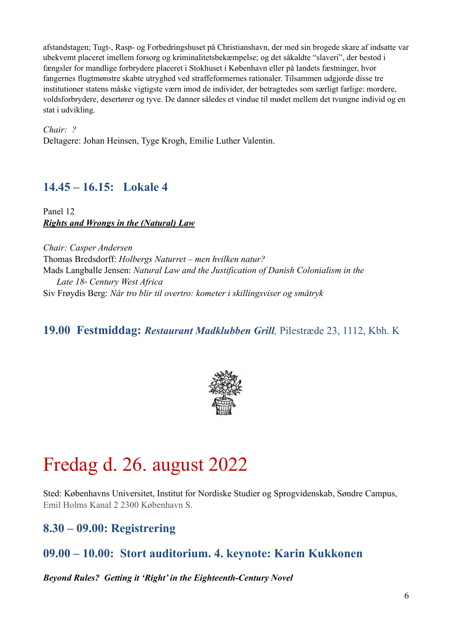afstandstagen; Tugt-, Rasp- og Forbedringshuset på Christianshavn, der med sin brogede skare af indsatte var ubekvemt placeret imellem forsorg og kriminalitetsbekæmpelse; og det såkaldte "slaveri", der bestod i fængsler for mandlige forbrydere placeret i Stokhuset i København eller på landets fæstninger, hvor fangernes flugtmønstre skabte utryghed ved straffeformernes rationaler. Tilsammen udgjorde disse tre institutioner statens måske vigtigste værn imod de individer, der betragtedes som særligt farlige: mordere, voldsforbrydere, desertører og tyve. De danner således et vindue til mødet mellem det tvungne individ og en stat i udvikling.

*Chair: ?* Deltagere: Johan Heinsen, Tyge Krogh, Emilie Luther Valentin.

# **14.45 – 16.15: Lokale 4**

Panel 12 *Rights and Wrongs in the (Natural) Law*

*Chair: Casper Andersen* Thomas Bredsdorff: *Holbergs Naturret – men hvilken natur?* Mads Langballe Jensen: *Natural Law and the Justification of Danish Colonialism in the Late 18th Century West Africa* Siv Frøydis Berg: *Når tro blir til overtro: kometer i skillingsviser og småtryk*

# **19.00 Festmiddag:** *Restaurant Madklubben Grill,* Pilestræde 23, 1112, Kbh. K



# Fredag d. 26. august 2022

Sted: Københavns Universitet, Institut for Nordiske Studier og Sprogvidenskab, Søndre Campus, Emil Holms Kanal 2 2300 København S.

# **8.30 – 09.00: Registrering**

# **09.00 – 10.00: Stort auditorium. 4. keynote: Karin Kukkonen**

*Beyond Rules? Getting it 'Right' in the Eighteenth-Century Novel*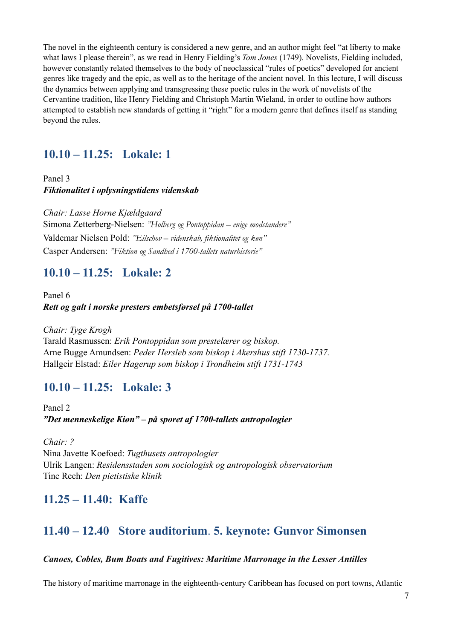The novel in the eighteenth century is considered a new genre, and an author might feel "at liberty to make what laws I please therein", as we read in Henry Fielding's *Tom Jones* (1749). Novelists, Fielding included, however constantly related themselves to the body of neoclassical "rules of poetics" developed for ancient genres like tragedy and the epic, as well as to the heritage of the ancient novel. In this lecture, I will discuss the dynamics between applying and transgressing these poetic rules in the work of novelists of the Cervantine tradition, like Henry Fielding and Christoph Martin Wieland, in order to outline how authors attempted to establish new standards of getting it "right" for a modern genre that defines itself as standing beyond the rules.

## **10.10 – 11.25: Lokale: 1**

Panel 3 *Fiktionalitet i oplysningstidens videnskab*

*Chair: Lasse Horne Kjældgaard* Simona Zetterberg-Nielsen: *"Holberg og Pontoppidan – enige modstandere"* Valdemar Nielsen Pold: *"Eilschov – videnskab, fiktionalitet og køn"* Casper Andersen: *"Fiktion og Sandhed i 1700-tallets naturhistorie"* 

## **10.10 – 11.25: Lokale: 2**

Panel 6 *Rett og galt i norske presters embetsførsel på 1700-tallet*

*Chair: Tyge Krogh* Tarald Rasmussen: *Erik Pontoppidan som prestelærer og biskop.* Arne Bugge Amundsen: *Peder Hersleb som biskop i Akershus stift 1730-1737.* Hallgeir Elstad: *Eiler Hagerup som biskop i Trondheim stift 1731-1743*

# **10.10 – 11.25: Lokale: 3**

Panel 2 *"Det menneskelige Kiøn" – på sporet af 1700-tallets antropologier*

*Chair: ?* Nina Javette Koefoed: *Tugthusets antropologier* Ulrik Langen: *Residensstaden som sociologisk og antropologisk observatorium* Tine Reeh: *Den pietistiske klinik*

# **11.25 – 11.40: Kaffe**

# **11.40 – 12.40 Store auditorium**. **5. keynote: Gunvor Simonsen**

#### *Canoes, Cobles, Bum Boats and Fugitives: Maritime Marronage in the Lesser Antilles*

The history of maritime marronage in the eighteenth-century Caribbean has focused on port towns, Atlantic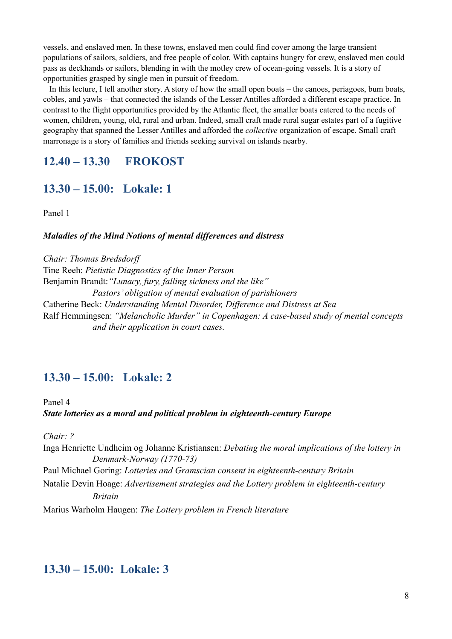vessels, and enslaved men. In these towns, enslaved men could find cover among the large transient populations of sailors, soldiers, and free people of color. With captains hungry for crew, enslaved men could pass as deckhands or sailors, blending in with the motley crew of ocean-going vessels. It is a story of opportunities grasped by single men in pursuit of freedom.

 In this lecture, I tell another story. A story of how the small open boats – the canoes, periagoes, bum boats, cobles, and yawls – that connected the islands of the Lesser Antilles afforded a different escape practice. In contrast to the flight opportunities provided by the Atlantic fleet, the smaller boats catered to the needs of women, children, young, old, rural and urban. Indeed, small craft made rural sugar estates part of a fugitive geography that spanned the Lesser Antilles and afforded the *collective* organization of escape. Small craft marronage is a story of families and friends seeking survival on islands nearby.

## **12.40 – 13.30 FROKOST**

## **13.30 – 15.00: Lokale: 1**

Panel 1

#### *Maladies of the Mind Notions of mental differences and distress*

*Chair: Thomas Bredsdorff* Tine Reeh: *Pietistic Diagnostics of the Inner Person* Benjamin Brandt:*"Lunacy, fury, falling sickness and the like" Pastors' obligation of mental evaluation of parishioners* Catherine Beck: *Understanding Mental Disorder, Difference and Distress at Sea* Ralf Hemmingsen: *"Melancholic Murder" in Copenhagen: A case-based study of mental concepts and their application in court cases.*

## **13.30 – 15.00: Lokale: 2**

Panel 4 *State lotteries as a moral and political problem in eighteenth-century Europe*

*Chair: ?*

Inga Henriette Undheim og Johanne Kristiansen: *Debating the moral implications of the lottery in Denmark-Norway (1770-73)* Paul Michael Goring: *Lotteries and Gramscian consent in eighteenth-century Britain* Natalie Devin Hoage: *Advertisement strategies and the Lottery problem in eighteenth-century Britain* Marius Warholm Haugen: *The Lottery problem in French literature*

## **13.30 – 15.00: Lokale: 3**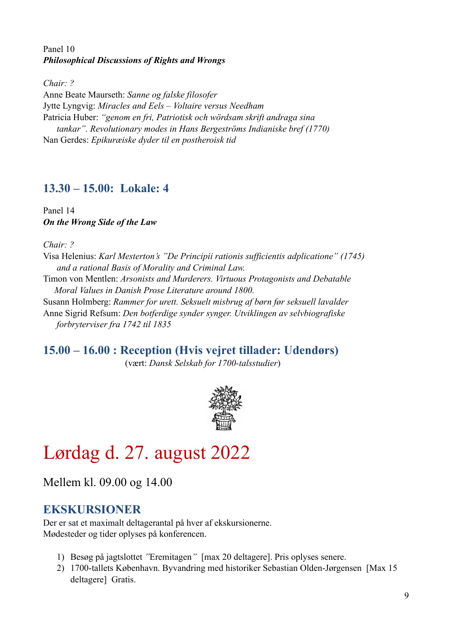#### Panel 10 *Philosophical Discussions of Rights and Wrongs*

*Chair: ?*

Anne Beate Maurseth: *Sanne og falske filosofer* Jytte Lyngvig: *Miracles and Eels – Voltaire versus Needham* Patricia Huber: *"genom en fri, Patriotisk och wördsam skrift andraga sina tankar". Revolutionary modes in Hans Bergeströms Indianiske bref (1770)* Nan Gerdes: *Epikuræiske dyder til en postheroisk tid* 

## **13.30 – 15.00: Lokale: 4**

Panel 14 *On the Wrong Side of the Law*

*Chair: ?*

Visa Helenius: *Karl Mesterton's "De Principii rationis sufficientis adplicatione" (1745) and a rational Basis of Morality and Criminal Law.* Timon von Mentlen: *Arsonists and Murderers. Virtuous Protagonists and Debatable Moral Values in Danish Prose Literature around 1800.* Susann Holmberg: *Rammer for urett. Seksuelt misbrug af børn før seksuell lavalder* Anne Sigrid Refsum: *Den botferdige synder synger. Utviklingen av selvbiografiske forbryterviser fra 1742 til 1835*

**15.00 – 16.00 : Reception (Hvis vejret tillader: Udendørs)**

(vært: *Dansk Selskab for 1700-talsstudier*)



# Lørdag d. 27. august 2022

Mellem kl. 09.00 og 14.00

# **EKSKURSIONER**

Der er sat et maximalt deltagerantal på hver af ekskursionerne. Mødesteder og tider oplyses på konferencen.

- 1) Besøg på jagtslottet *"*Eremitagen*"* [max 20 deltagere]. Pris oplyses senere.
- 2) 1700-tallets København. Byvandring med historiker Sebastian Olden-Jørgensen [Max 15 deltagere] Gratis.